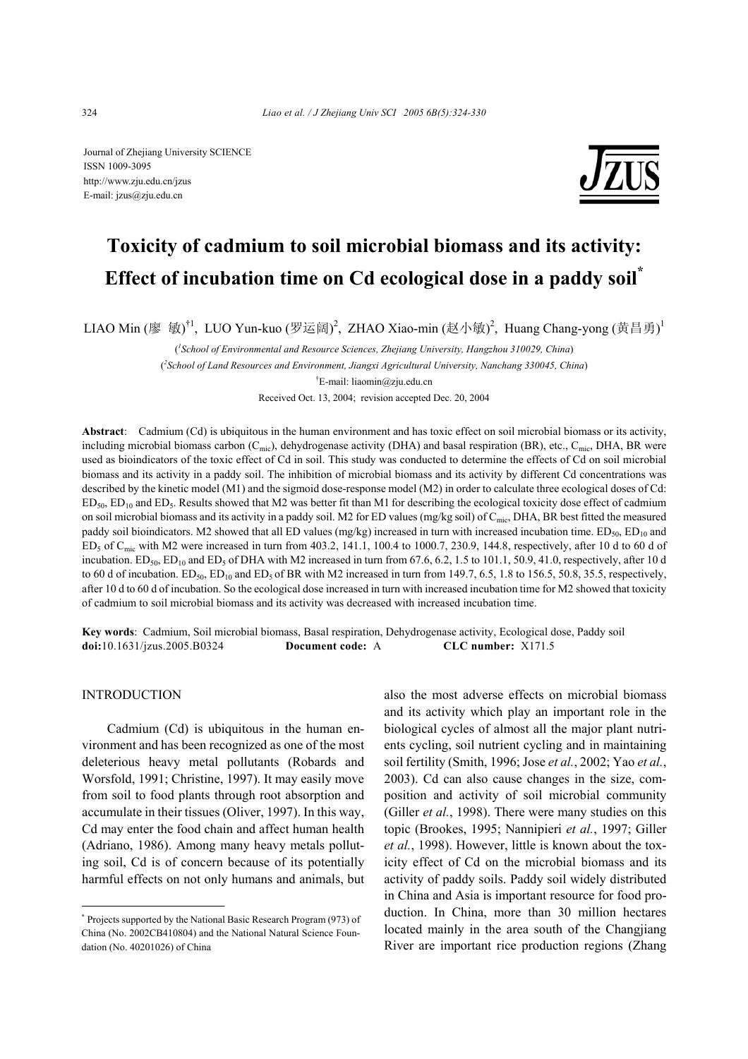Journal of Zhejiang University SCIENCE ISSN 1009-3095 http://www.zju.edu.cn/jzus E-mail: jzus@zju.edu.cn



# **Toxicity of cadmium to soil microbial biomass and its activity: Effect of incubation time on Cd ecological dose in a paddy soil\***

LIAO Min (廖 敏)<sup>†1</sup>, LUO Yun-kuo (罗运阔)<sup>2</sup>, ZHAO Xiao-min (赵小敏)<sup>2</sup>, Huang Chang-yong (黄昌勇)<sup>1</sup>

( *1 School of Environmental and Resource Sciences, Zhejiang University, Hangzhou 310029, China*) ( *2 School of Land Resources and Environment, Jiangxi Agricultural University, Nanchang 330045, China*)

† E-mail: liaomin@zju.edu.cn

Received Oct. 13, 2004; revision accepted Dec. 20, 2004

**Abstract**: Cadmium (Cd) is ubiquitous in the human environment and has toxic effect on soil microbial biomass or its activity, including microbial biomass carbon ( $C_{\text{mic}}$ ), dehydrogenase activity (DHA) and basal respiration (BR), etc.,  $C_{\text{mic}}$ , DHA, BR were used as bioindicators of the toxic effect of Cd in soil. This study was conducted to determine the effects of Cd on soil microbial biomass and its activity in a paddy soil. The inhibition of microbial biomass and its activity by different Cd concentrations was described by the kinetic model (M1) and the sigmoid dose-response model (M2) in order to calculate three ecological doses of Cd:  $ED_{50}$ ,  $ED_{10}$  and  $ED_5$ . Results showed that M2 was better fit than M1 for describing the ecological toxicity dose effect of cadmium on soil microbial biomass and its activity in a paddy soil. M2 for ED values (mg/kg soil) of  $C_{\text{mic}}$ , DHA, BR best fitted the measured paddy soil bioindicators. M2 showed that all ED values (mg/kg) increased in turn with increased incubation time.  $ED_{50}$ ,  $ED_{10}$  and  $ED_5$  of  $C_{\text{mic}}$  with M2 were increased in turn from 403.2, 141.1, 100.4 to 1000.7, 230.9, 144.8, respectively, after 10 d to 60 d of incubation. ED<sub>50</sub>, ED<sub>10</sub> and ED<sub>5</sub> of DHA with M2 increased in turn from 67.6, 6.2, 1.5 to 101.1, 50.9, 41.0, respectively, after 10 d to 60 d of incubation.  $ED_{50}$ ,  $ED_{10}$  and  $ED_5$  of BR with M2 increased in turn from 149.7, 6.5, 1.8 to 156.5, 50.8, 35.5, respectively, after 10 d to 60 d of incubation. So the ecological dose increased in turn with increased incubation time for M2 showed that toxicity of cadmium to soil microbial biomass and its activity was decreased with increased incubation time.

**Key words**: Cadmium, Soil microbial biomass, Basal respiration, Dehydrogenase activity, Ecological dose, Paddy soil **doi:**10.1631/jzus.2005.B0324 **Document code:** A **CLC number:** X171.5

# INTRODUCTION

Cadmium (Cd) is ubiquitous in the human environment and has been recognized as one of the most deleterious heavy metal pollutants (Robards and Worsfold, 1991; Christine, 1997). It may easily move from soil to food plants through root absorption and accumulate in their tissues (Oliver, 1997). In this way, Cd may enter the food chain and affect human health (Adriano, 1986). Among many heavy metals polluting soil, Cd is of concern because of its potentially harmful effects on not only humans and animals, but also the most adverse effects on microbial biomass and its activity which play an important role in the biological cycles of almost all the major plant nutrients cycling, soil nutrient cycling and in maintaining soil fertility (Smith, 1996; Jose *et al.*, 2002; Yao *et al.*, 2003). Cd can also cause changes in the size, composition and activity of soil microbial community (Giller *et al.*, 1998). There were many studies on this topic (Brookes, 1995; Nannipieri *et al.*, 1997; Giller *et al.*, 1998). However, little is known about the toxicity effect of Cd on the microbial biomass and its activity of paddy soils. Paddy soil widely distributed in China and Asia is important resource for food production. In China, more than 30 million hectares located mainly in the area south of the Changjiang River are important rice production regions (Zhang

<sup>\*</sup> Projects supported by the National Basic Research Program (973) of China (No. 2002CB410804) and the National Natural Science Foundation (No. 40201026) of China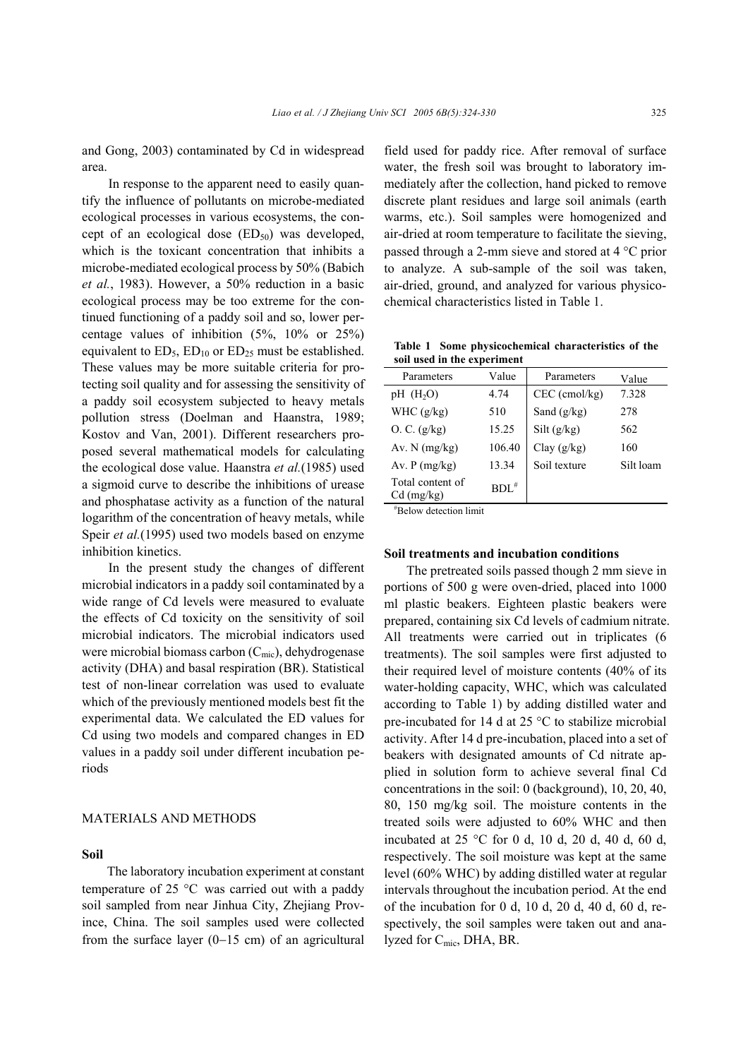and Gong, 2003) contaminated by Cd in widespread area.

In response to the apparent need to easily quantify the influence of pollutants on microbe-mediated ecological processes in various ecosystems, the concept of an ecological dose  $(ED_{50})$  was developed, which is the toxicant concentration that inhibits a microbe-mediated ecological process by 50% (Babich *et al.*, 1983). However, a 50% reduction in a basic ecological process may be too extreme for the continued functioning of a paddy soil and so, lower percentage values of inhibition (5%, 10% or 25%) equivalent to  $ED_5$ ,  $ED_{10}$  or  $ED_{25}$  must be established. These values may be more suitable criteria for protecting soil quality and for assessing the sensitivity of a paddy soil ecosystem subjected to heavy metals pollution stress (Doelman and Haanstra, 1989; Kostov and Van, 2001). Different researchers proposed several mathematical models for calculating the ecological dose value. Haanstra *et al.*(1985) used a sigmoid curve to describe the inhibitions of urease and phosphatase activity as a function of the natural logarithm of the concentration of heavy metals, while Speir *et al.*(1995) used two models based on enzyme inhibition kinetics.

In the present study the changes of different microbial indicators in a paddy soil contaminated by a wide range of Cd levels were measured to evaluate the effects of Cd toxicity on the sensitivity of soil microbial indicators. The microbial indicators used were microbial biomass carbon  $(C_{\text{mic}})$ , dehydrogenase activity (DHA) and basal respiration (BR). Statistical test of non-linear correlation was used to evaluate which of the previously mentioned models best fit the experimental data. We calculated the ED values for Cd using two models and compared changes in ED values in a paddy soil under different incubation periods

## MATERIALS AND METHODS

## **Soil**

The laboratory incubation experiment at constant temperature of 25 °C was carried out with a paddy soil sampled from near Jinhua City, Zhejiang Province, China. The soil samples used were collected from the surface layer (0−15 cm) of an agricultural field used for paddy rice. After removal of surface water, the fresh soil was brought to laboratory immediately after the collection, hand picked to remove discrete plant residues and large soil animals (earth warms, etc.). Soil samples were homogenized and air-dried at room temperature to facilitate the sieving, passed through a 2-mm sieve and stored at 4 °C prior to analyze. A sub-sample of the soil was taken, air-dried, ground, and analyzed for various physicochemical characteristics listed in Table 1.

**Table 1 Some physicochemical characteristics of the soil used in the experiment** 

| Parameters                       | Value      | Parameters      | Value     |
|----------------------------------|------------|-----------------|-----------|
| $pH$ (H <sub>2</sub> O)          | 4.74       | $CEC$ (cmol/kg) | 7.328     |
| WHC $(g/kg)$                     | 510        | Sand $(g/kg)$   | 278       |
| O. C. (g/kg)                     | 15.25      | Silt(g/kg)      | 562       |
| Av. $N$ (mg/kg)                  | 106.40     | Clay $(g/kg)$   | 160       |
| Av. $P(mg/kg)$                   | 13.34      | Soil texture    | Silt loam |
| Total content of<br>$Cd$ (mg/kg) | $BDL^{\#}$ |                 |           |

# Below detection limit

### **Soil treatments and incubation conditions**

The pretreated soils passed though 2 mm sieve in portions of 500 g were oven-dried, placed into 1000 ml plastic beakers. Eighteen plastic beakers were prepared, containing six Cd levels of cadmium nitrate. All treatments were carried out in triplicates (6 treatments). The soil samples were first adjusted to their required level of moisture contents (40% of its water-holding capacity, WHC, which was calculated according to Table 1) by adding distilled water and pre-incubated for 14 d at 25 °C to stabilize microbial activity. After 14 d pre-incubation, placed into a set of beakers with designated amounts of Cd nitrate applied in solution form to achieve several final Cd concentrations in the soil: 0 (background), 10, 20, 40, 80, 150 mg/kg soil. The moisture contents in the treated soils were adjusted to 60% WHC and then incubated at  $25 \text{ °C}$  for 0 d, 10 d, 20 d, 40 d, 60 d, respectively. The soil moisture was kept at the same level (60% WHC) by adding distilled water at regular intervals throughout the incubation period. At the end of the incubation for 0 d, 10 d, 20 d, 40 d, 60 d, respectively, the soil samples were taken out and analyzed for Cmic, DHA, BR.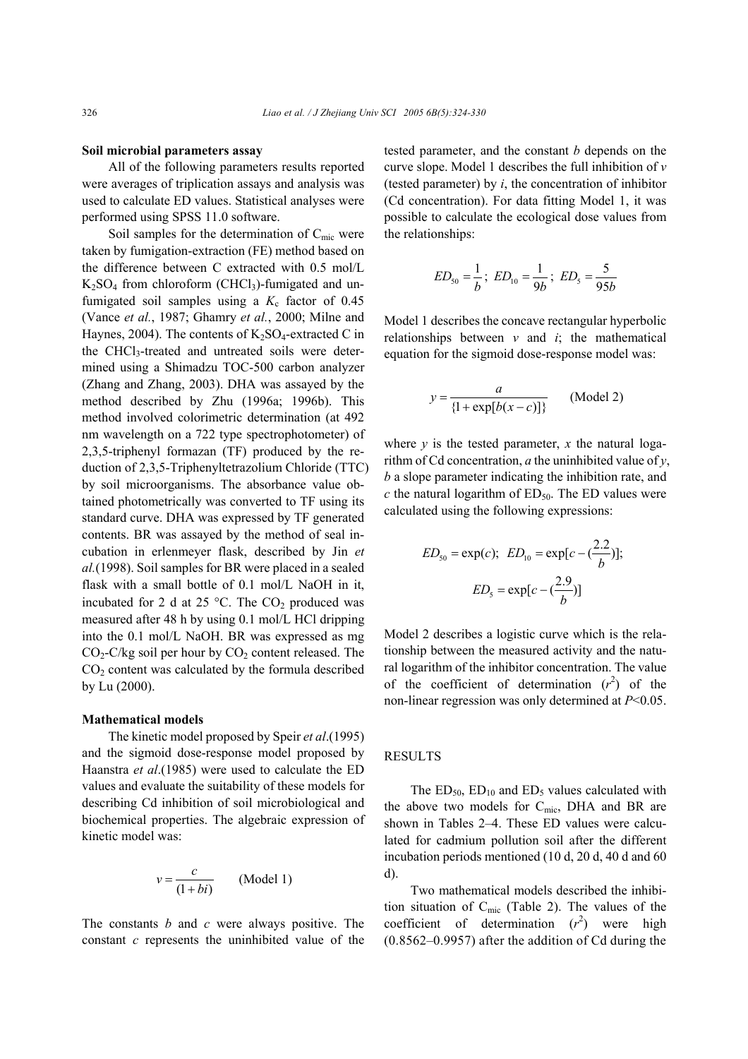## **Soil microbial parameters assay**

All of the following parameters results reported were averages of triplication assays and analysis was used to calculate ED values. Statistical analyses were performed using SPSS 11.0 software.

Soil samples for the determination of  $C_{\text{mic}}$  were taken by fumigation-extraction (FE) method based on the difference between C extracted with 0.5 mol/L  $K<sub>2</sub>SO<sub>4</sub>$  from chloroform (CHCl<sub>3</sub>)-fumigated and unfumigated soil samples using a  $K_c$  factor of 0.45 (Vance *et al.*, 1987; Ghamry *et al.*, 2000; Milne and Haynes, 2004). The contents of  $K_2SO_4$ -extracted C in the CHCl<sub>3</sub>-treated and untreated soils were determined using a Shimadzu TOC-500 carbon analyzer (Zhang and Zhang, 2003). DHA was assayed by the method described by Zhu (1996a; 1996b). This method involved colorimetric determination (at 492 nm wavelength on a 722 type spectrophotometer) of 2,3,5-triphenyl formazan (TF) produced by the reduction of 2,3,5-Triphenyltetrazolium Chloride (TTC) by soil microorganisms. The absorbance value obtained photometrically was converted to TF using its standard curve. DHA was expressed by TF generated contents. BR was assayed by the method of seal incubation in erlenmeyer flask, described by Jin *et al.*(1998). Soil samples for BR were placed in a sealed flask with a small bottle of 0.1 mol/L NaOH in it, incubated for 2 d at 25  $^{\circ}$ C. The CO<sub>2</sub> produced was measured after 48 h by using 0.1 mol/L HCl dripping into the 0.1 mol/L NaOH. BR was expressed as mg  $CO<sub>2</sub>-C/kg$  soil per hour by  $CO<sub>2</sub>$  content released. The CO2 content was calculated by the formula described by Lu (2000).

### **Mathematical models**

The kinetic model proposed by Speir *et al*.(1995) and the sigmoid dose-response model proposed by Haanstra *et al*.(1985) were used to calculate the ED values and evaluate the suitability of these models for describing Cd inhibition of soil microbiological and biochemical properties. The algebraic expression of kinetic model was:

$$
v = \frac{c}{(1+bi)}
$$
 (Model 1)

The constants *b* and *c* were always positive. The constant *c* represents the uninhibited value of the tested parameter, and the constant *b* depends on the curve slope. Model 1 describes the full inhibition of *v* (tested parameter) by *i*, the concentration of inhibitor (Cd concentration). For data fitting Model 1, it was possible to calculate the ecological dose values from the relationships:

$$
ED_{50} = \frac{1}{b}
$$
;  $ED_{10} = \frac{1}{9b}$ ;  $ED_5 = \frac{5}{95b}$ 

Model 1 describes the concave rectangular hyperbolic relationships between  $v$  and  $i$ ; the mathematical equation for the sigmoid dose-response model was:

$$
y = \frac{a}{\{1 + \exp[b(x - c)]\}}
$$
 (Model 2)

where  $y$  is the tested parameter,  $x$  the natural logarithm of Cd concentration, *a* the uninhibited value of *y*, *b* a slope parameter indicating the inhibition rate, and *c* the natural logarithm of  $ED_{50}$ . The ED values were calculated using the following expressions:

$$
ED_{50} = \exp(c); ED_{10} = \exp[c - (\frac{2.2}{b})];
$$
  
 $ED_5 = \exp[c - (\frac{2.9}{b})]$ 

Model 2 describes a logistic curve which is the relationship between the measured activity and the natural logarithm of the inhibitor concentration. The value of the coefficient of determination  $(r^2)$  of the non-linear regression was only determined at *P*<0.05.

# **RESULTS**

The  $ED_{50}$ ,  $ED_{10}$  and  $ED_5$  values calculated with the above two models for  $C_{\text{mic}}$ , DHA and BR are shown in Tables 2–4. These ED values were calculated for cadmium pollution soil after the different incubation periods mentioned (10 d, 20 d, 40 d and 60 d).

Two mathematical models described the inhibition situation of Cmic (Table 2). The values of the coefficient of determination  $(r^2)$  were high (0.8562–0.9957) after the addition of Cd during the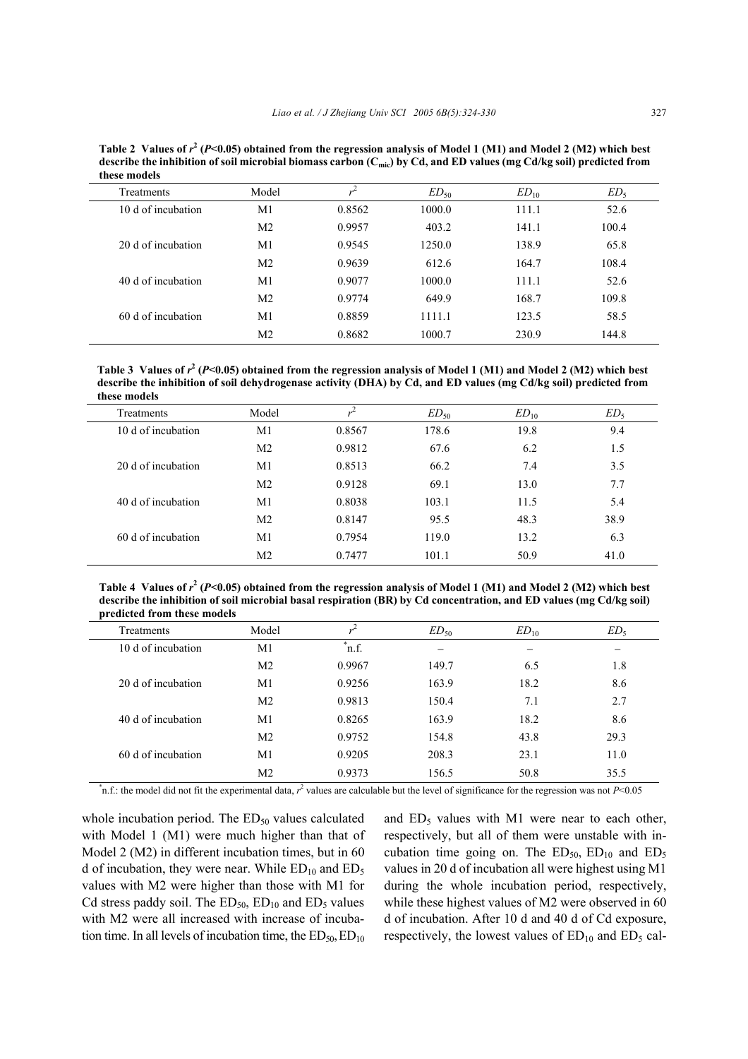Table 2 Values of  $r^2$  (P<0.05) obtained from the regression analysis of Model 1 (M1) and Model 2 (M2) which best **describe the inhibition of soil microbial biomass carbon (Cmic) by Cd, and ED values (mg Cd/kg soil) predicted from these models** 

| <b>Treatments</b>  | Model          | $\mathbf{v}^{\perp}$ | $ED_{50}$ | $ED_{10}$ | ED <sub>5</sub> |
|--------------------|----------------|----------------------|-----------|-----------|-----------------|
| 10 d of incubation | M1             | 0.8562               | 1000.0    | 111.1     | 52.6            |
|                    | M <sub>2</sub> | 0.9957               | 403.2     | 141.1     | 100.4           |
| 20 d of incubation | M <sub>1</sub> | 0.9545               | 1250.0    | 138.9     | 65.8            |
|                    | M <sub>2</sub> | 0.9639               | 612.6     | 164.7     | 108.4           |
| 40 d of incubation | M <sub>1</sub> | 0.9077               | 1000.0    | 111.1     | 52.6            |
|                    | M <sub>2</sub> | 0.9774               | 649.9     | 168.7     | 109.8           |
| 60 d of incubation | M1             | 0.8859               | 1111.1    | 123.5     | 58.5            |
|                    | M <sub>2</sub> | 0.8682               | 1000.7    | 230.9     | 144.8           |

Table 3 Values of  $r^2$  (P<0.05) obtained from the regression analysis of Model 1 (M1) and Model 2 (M2) which best **describe the inhibition of soil dehydrogenase activity (DHA) by Cd, and ED values (mg Cd/kg soil) predicted from these models** 

| <b>Treatments</b>  | Model          | $\overline{u}$ | $ED_{50}$ | $ED_{10}$ | ED <sub>5</sub> |
|--------------------|----------------|----------------|-----------|-----------|-----------------|
| 10 d of incubation | M1             | 0.8567         | 178.6     | 19.8      | 9.4             |
|                    | M <sub>2</sub> | 0.9812         | 67.6      | 6.2       | 1.5             |
| 20 d of incubation | M <sub>1</sub> | 0.8513         | 66.2      | 7.4       | 3.5             |
|                    | M <sub>2</sub> | 0.9128         | 69.1      | 13.0      | 7.7             |
| 40 d of incubation | M1             | 0.8038         | 103.1     | 11.5      | 5.4             |
|                    | M <sub>2</sub> | 0.8147         | 95.5      | 48.3      | 38.9            |
| 60 d of incubation | M1             | 0.7954         | 119.0     | 13.2      | 6.3             |
|                    | M <sub>2</sub> | 0.7477         | 101.1     | 50.9      | 41.0            |

Table 4 Values of  $r^2$  (P<0.05) obtained from the regression analysis of Model 1 (M1) and Model 2 (M2) which best **describe the inhibition of soil microbial basal respiration (BR) by Cd concentration, and ED values (mg Cd/kg soil) predicted from these models** 

| . .                |                |                      |           |           |                 |
|--------------------|----------------|----------------------|-----------|-----------|-----------------|
| <b>Treatments</b>  | Model          | $\sim$               | $ED_{50}$ | $ED_{10}$ | ED <sub>5</sub> |
| 10 d of incubation | M1             | $\mathbf{r}$<br>n.f. |           |           |                 |
|                    | M <sub>2</sub> | 0.9967               | 149.7     | 6.5       | 1.8             |
| 20 d of incubation | M1             | 0.9256               | 163.9     | 18.2      | 8.6             |
|                    | M <sub>2</sub> | 0.9813               | 150.4     | 7.1       | 2.7             |
| 40 d of incubation | M1             | 0.8265               | 163.9     | 18.2      | 8.6             |
|                    | M <sub>2</sub> | 0.9752               | 154.8     | 43.8      | 29.3            |
| 60 d of incubation | M1             | 0.9205               | 208.3     | 23.1      | 11.0            |
|                    | M <sub>2</sub> | 0.9373               | 156.5     | 50.8      | 35.5            |
|                    |                |                      |           |           |                 |

 $^{\ast}$ n.f.: the model did not fit the experimental data,  $r^2$  values are calculable but the level of significance for the regression was not *P*<0.05

whole incubation period. The  $ED<sub>50</sub>$  values calculated with Model 1 (M1) were much higher than that of Model 2 (M2) in different incubation times, but in 60 d of incubation, they were near. While  $ED_{10}$  and  $ED_5$ values with M2 were higher than those with M1 for Cd stress paddy soil. The  $ED_{50}$ ,  $ED_{10}$  and  $ED_5$  values with M2 were all increased with increase of incubation time. In all levels of incubation time, the  $ED_{50}$ ,  $ED_{10}$  and  $ED_5$  values with M1 were near to each other, respectively, but all of them were unstable with incubation time going on. The  $ED_{50}$ ,  $ED_{10}$  and  $ED_{5}$ values in 20 d of incubation all were highest using M1 during the whole incubation period, respectively, while these highest values of M2 were observed in 60 d of incubation. After 10 d and 40 d of Cd exposure, respectively, the lowest values of  $ED_{10}$  and  $ED_5$  cal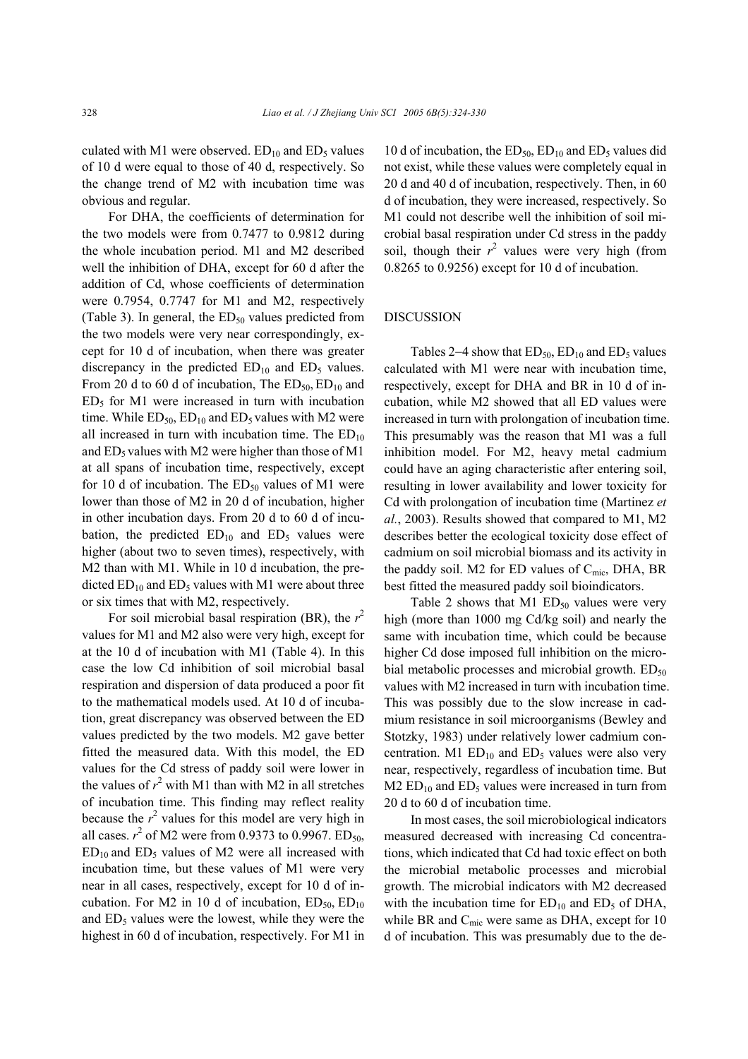culated with M1 were observed.  $ED_{10}$  and  $ED_5$  values of 10 d were equal to those of 40 d, respectively. So the change trend of M2 with incubation time was obvious and regular.

For DHA, the coefficients of determination for the two models were from 0.7477 to 0.9812 during the whole incubation period. M1 and M2 described well the inhibition of DHA, except for 60 d after the addition of Cd, whose coefficients of determination were 0.7954, 0.7747 for M1 and M2, respectively (Table 3). In general, the  $ED<sub>50</sub>$  values predicted from the two models were very near correspondingly, except for 10 d of incubation, when there was greater discrepancy in the predicted  $ED_{10}$  and  $ED_5$  values. From 20 d to 60 d of incubation, The  $ED_{50}$ ,  $ED_{10}$  and  $ED<sub>5</sub>$  for M1 were increased in turn with incubation time. While  $ED_{50}$ ,  $ED_{10}$  and  $ED_5$  values with M2 were all increased in turn with incubation time. The  $ED_{10}$ and  $ED_5$  values with M2 were higher than those of M1 at all spans of incubation time, respectively, except for 10 d of incubation. The  $ED_{50}$  values of M1 were lower than those of M2 in 20 d of incubation, higher in other incubation days. From 20 d to 60 d of incubation, the predicted  $ED_{10}$  and  $ED_5$  values were higher (about two to seven times), respectively, with M2 than with M1. While in 10 d incubation, the predicted  $ED_{10}$  and  $ED_5$  values with M1 were about three or six times that with M2, respectively.

For soil microbial basal respiration (BR), the  $r^2$ values for M1 and M2 also were very high, except for at the 10 d of incubation with M1 (Table 4). In this case the low Cd inhibition of soil microbial basal respiration and dispersion of data produced a poor fit to the mathematical models used. At 10 d of incubation, great discrepancy was observed between the ED values predicted by the two models. M2 gave better fitted the measured data. With this model, the ED values for the Cd stress of paddy soil were lower in the values of  $r^2$  with M1 than with M2 in all stretches of incubation time. This finding may reflect reality because the  $r^2$  values for this model are very high in all cases.  $r^2$  of M2 were from 0.9373 to 0.9967. ED<sub>50</sub>,  $ED_{10}$  and  $ED_5$  values of M2 were all increased with incubation time, but these values of M1 were very near in all cases, respectively, except for 10 d of incubation. For M2 in 10 d of incubation,  $ED_{50}$ ,  $ED_{10}$ and  $ED_5$  values were the lowest, while they were the highest in 60 d of incubation, respectively. For M1 in

10 d of incubation, the  $ED_{50}$ ,  $ED_{10}$  and  $ED_5$  values did not exist, while these values were completely equal in 20 d and 40 d of incubation, respectively. Then, in 60 d of incubation, they were increased, respectively. So M1 could not describe well the inhibition of soil microbial basal respiration under Cd stress in the paddy soil, though their  $r^2$  values were very high (from 0.8265 to 0.9256) except for 10 d of incubation.

#### DISCUSSION

Tables 2–4 show that  $ED_{50}$ ,  $ED_{10}$  and  $ED_5$  values calculated with M1 were near with incubation time, respectively, except for DHA and BR in 10 d of incubation, while M2 showed that all ED values were increased in turn with prolongation of incubation time. This presumably was the reason that M1 was a full inhibition model. For M2, heavy metal cadmium could have an aging characteristic after entering soil, resulting in lower availability and lower toxicity for Cd with prolongation of incubation time (Martinez *et al.*, 2003). Results showed that compared to M1, M2 describes better the ecological toxicity dose effect of cadmium on soil microbial biomass and its activity in the paddy soil. M2 for ED values of  $C_{\text{mic}}$ , DHA, BR best fitted the measured paddy soil bioindicators.

Table 2 shows that M1  $ED_{50}$  values were very high (more than 1000 mg Cd/kg soil) and nearly the same with incubation time, which could be because higher Cd dose imposed full inhibition on the microbial metabolic processes and microbial growth.  $ED_{50}$ values with M2 increased in turn with incubation time. This was possibly due to the slow increase in cadmium resistance in soil microorganisms (Bewley and Stotzky, 1983) under relatively lower cadmium concentration. M1  $ED_{10}$  and  $ED_5$  values were also very near, respectively, regardless of incubation time. But  $M2$  ED<sub>10</sub> and ED<sub>5</sub> values were increased in turn from 20 d to 60 d of incubation time.

In most cases, the soil microbiological indicators measured decreased with increasing Cd concentrations, which indicated that Cd had toxic effect on both the microbial metabolic processes and microbial growth. The microbial indicators with M2 decreased with the incubation time for  $ED_{10}$  and  $ED_5$  of DHA, while BR and  $C_{\text{mic}}$  were same as DHA, except for 10 d of incubation. This was presumably due to the de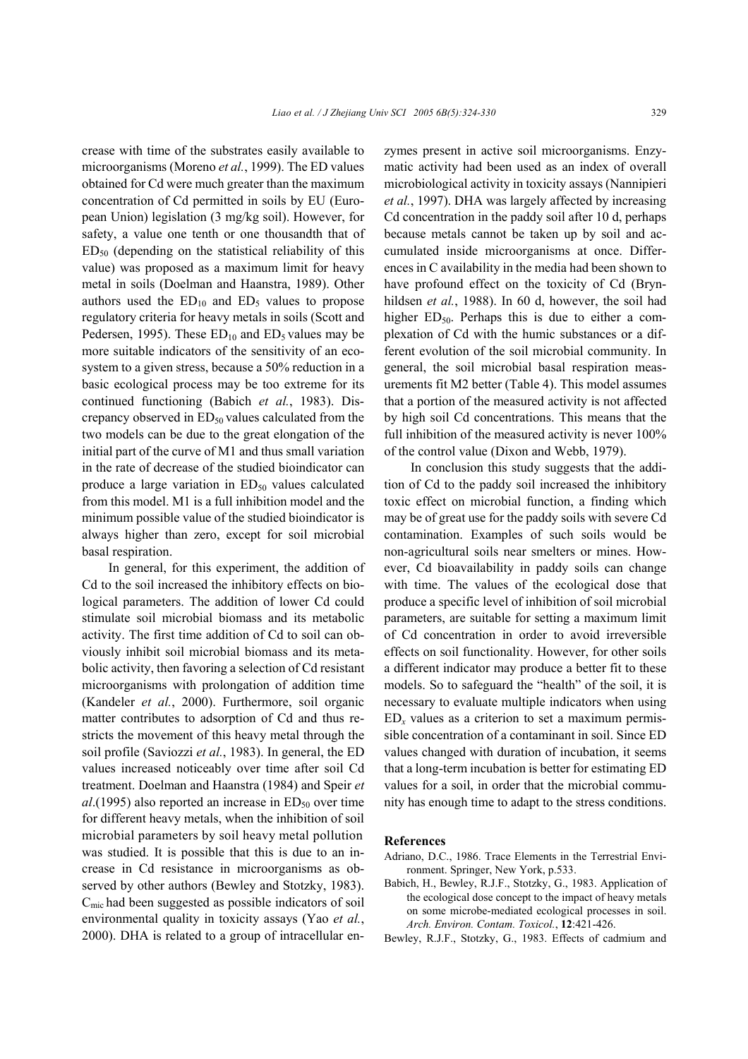crease with time of the substrates easily available to microorganisms (Moreno *et al.*, 1999). The ED values obtained for Cd were much greater than the maximum concentration of Cd permitted in soils by EU (European Union) legislation (3 mg/kg soil). However, for safety, a value one tenth or one thousandth that of  $ED<sub>50</sub>$  (depending on the statistical reliability of this value) was proposed as a maximum limit for heavy metal in soils (Doelman and Haanstra, 1989). Other authors used the  $ED_{10}$  and  $ED_5$  values to propose regulatory criteria for heavy metals in soils (Scott and Pedersen, 1995). These  $ED_{10}$  and  $ED_5$  values may be more suitable indicators of the sensitivity of an ecosystem to a given stress, because a 50% reduction in a basic ecological process may be too extreme for its continued functioning (Babich *et al.*, 1983). Discrepancy observed in  $ED<sub>50</sub>$  values calculated from the two models can be due to the great elongation of the initial part of the curve of M1 and thus small variation in the rate of decrease of the studied bioindicator can produce a large variation in  $ED<sub>50</sub>$  values calculated from this model. M1 is a full inhibition model and the minimum possible value of the studied bioindicator is always higher than zero, except for soil microbial basal respiration.

In general, for this experiment, the addition of Cd to the soil increased the inhibitory effects on biological parameters. The addition of lower Cd could stimulate soil microbial biomass and its metabolic activity. The first time addition of Cd to soil can obviously inhibit soil microbial biomass and its metabolic activity, then favoring a selection of Cd resistant microorganisms with prolongation of addition time (Kandeler *et al.*, 2000). Furthermore, soil organic matter contributes to adsorption of Cd and thus restricts the movement of this heavy metal through the soil profile (Saviozzi *et al.*, 1983). In general, the ED values increased noticeably over time after soil Cd treatment. Doelman and Haanstra (1984) and Speir *et*   $al.$ (1995) also reported an increase in  $ED<sub>50</sub>$  over time for different heavy metals, when the inhibition of soil microbial parameters by soil heavy metal pollution was studied. It is possible that this is due to an increase in Cd resistance in microorganisms as observed by other authors (Bewley and Stotzky, 1983).  $C<sub>mic</sub>$  had been suggested as possible indicators of soil environmental quality in toxicity assays (Yao *et al.*, 2000). DHA is related to a group of intracellular enzymes present in active soil microorganisms. Enzymatic activity had been used as an index of overall microbiological activity in toxicity assays (Nannipieri *et al.*, 1997). DHA was largely affected by increasing Cd concentration in the paddy soil after 10 d, perhaps because metals cannot be taken up by soil and accumulated inside microorganisms at once. Differences in C availability in the media had been shown to have profound effect on the toxicity of Cd (Brynhildsen *et al.*, 1988). In 60 d, however, the soil had higher  $ED_{50}$ . Perhaps this is due to either a complexation of Cd with the humic substances or a different evolution of the soil microbial community. In general, the soil microbial basal respiration measurements fit M2 better (Table 4). This model assumes that a portion of the measured activity is not affected by high soil Cd concentrations. This means that the full inhibition of the measured activity is never 100% of the control value (Dixon and Webb, 1979).

In conclusion this study suggests that the addition of Cd to the paddy soil increased the inhibitory toxic effect on microbial function, a finding which may be of great use for the paddy soils with severe Cd contamination. Examples of such soils would be non-agricultural soils near smelters or mines. However, Cd bioavailability in paddy soils can change with time. The values of the ecological dose that produce a specific level of inhibition of soil microbial parameters, are suitable for setting a maximum limit of Cd concentration in order to avoid irreversible effects on soil functionality. However, for other soils a different indicator may produce a better fit to these models. So to safeguard the "health" of the soil, it is necessary to evaluate multiple indicators when using  $ED<sub>x</sub>$  values as a criterion to set a maximum permissible concentration of a contaminant in soil. Since ED values changed with duration of incubation, it seems that a long-term incubation is better for estimating ED values for a soil, in order that the microbial community has enough time to adapt to the stress conditions.

# **References**

- Adriano, D.C., 1986. Trace Elements in the Terrestrial Environment. Springer, New York, p.533.
- Babich, H., Bewley, R.J.F., Stotzky, G., 1983. Application of the ecological dose concept to the impact of heavy metals on some microbe-mediated ecological processes in soil. *Arch. Environ. Contam. Toxicol.*, **12**:421-426.
- Bewley, R.J.F., Stotzky, G., 1983. Effects of cadmium and